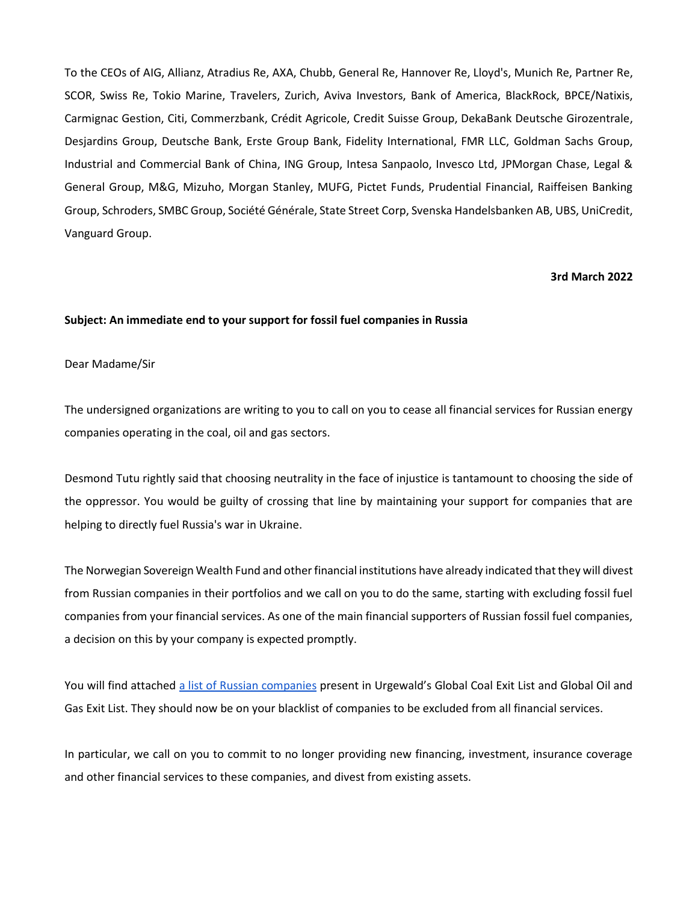To the CEOs of AIG, Allianz, Atradius Re, AXA, Chubb, General Re, Hannover Re, Lloyd's, Munich Re, Partner Re, SCOR, Swiss Re, Tokio Marine, Travelers, Zurich, Aviva Investors, Bank of America, BlackRock, BPCE/Natixis, Carmignac Gestion, Citi, Commerzbank, Crédit Agricole, Credit Suisse Group, DekaBank Deutsche Girozentrale, Desjardins Group, Deutsche Bank, Erste Group Bank, Fidelity International, FMR LLC, Goldman Sachs Group, Industrial and Commercial Bank of China, ING Group, Intesa Sanpaolo, Invesco Ltd, JPMorgan Chase, Legal & General Group, M&G, Mizuho, Morgan Stanley, MUFG, Pictet Funds, Prudential Financial, Raiffeisen Banking Group, Schroders, SMBC Group, Société Générale, State Street Corp, Svenska Handelsbanken AB, UBS, UniCredit, Vanguard Group.

#### **3rd March 2022**

#### **Subject: An immediate end to your support for fossil fuel companies in Russia**

#### Dear Madame/Sir

The undersigned organizations are writing to you to call on you to cease all financial services for Russian energy companies operating in the coal, oil and gas sectors.

Desmond Tutu rightly said that choosing neutrality in the face of injustice is tantamount to choosing the side of the oppressor. You would be guilty of crossing that line by maintaining your support for companies that are helping to directly fuel Russia's war in Ukraine.

The Norwegian Sovereign Wealth Fund and other financial institutions have already indicated that they will divest from Russian companies in their portfolios and we call on you to do the same, starting with excluding fossil fuel companies from your financial services. As one of the main financial supporters of Russian fossil fuel companies, a decision on this by your company is expected promptly.

You will find attached [a list of Russian companies](https://reclaimfinance.org/site/wp-content/uploads/2022/03/RussianFossilFuelExclusionList_March2022.pdf) present in Urgewald's Global Coal Exit List and Global Oil and Gas Exit List. They should now be on your blacklist of companies to be excluded from all financial services.

In particular, we call on you to commit to no longer providing new financing, investment, insurance coverage and other financial services to these companies, and divest from existing assets.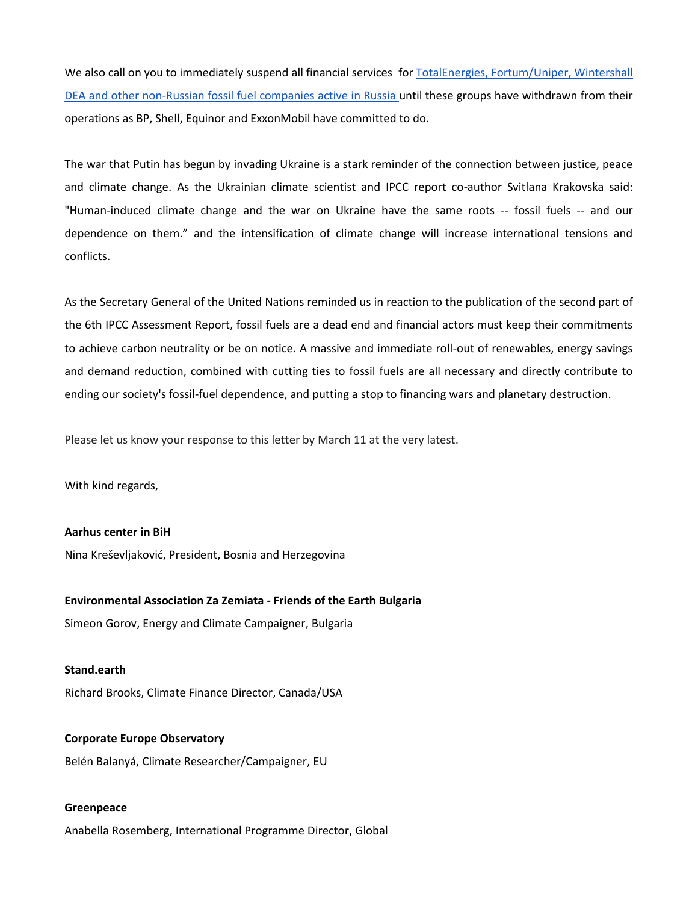We also call on you to immediately suspend all financial services for TotalEnergies, Fortum/Uniper, Wintershall [DEA and other non-Russian fossil fuel companies active in Russia](https://reclaimfinance.org/site/wp-content/uploads/2022/03/RussianFossilFuelExclusionList_March2022.pdf) until these groups have withdrawn from their operations as BP, Shell, Equinor and ExxonMobil have committed to do.

The war that Putin has begun by invading Ukraine is a stark reminder of the connection between justice, peace and climate change. As the Ukrainian climate scientist and IPCC report co-author Svitlana Krakovska said: "Human-induced climate change and the war on Ukraine have the same roots -- fossil fuels -- and our dependence on them." and the intensification of climate change will increase international tensions and conflicts.

As the Secretary General of the United Nations reminded us in reaction to the publication of the second part of the 6th IPCC Assessment Report, fossil fuels are a dead end and financial actors must keep their commitments to achieve carbon neutrality or be on notice. A massive and immediate roll-out of renewables, energy savings and demand reduction, combined with cutting ties to fossil fuels are all necessary and directly contribute to ending our society's fossil-fuel dependence, and putting a stop to financing wars and planetary destruction.

Please let us know your response to this letter by March 11 at the very latest.

With kind regards,

**Aarhus center in BiH**

Nina Kreševljaković, President, Bosnia and Herzegovina

#### **Environmental Association Za Zemiata - Friends of the Earth Bulgaria**

Simeon Gorov, Energy and Climate Campaigner, Bulgaria

**Stand.earth** Richard Brooks, Climate Finance Director, Canada/USA

**Corporate Europe Observatory** Belén Balanyá, Climate Researcher/Campaigner, EU

#### **Greenpeace**

Anabella Rosemberg, International Programme Director, Global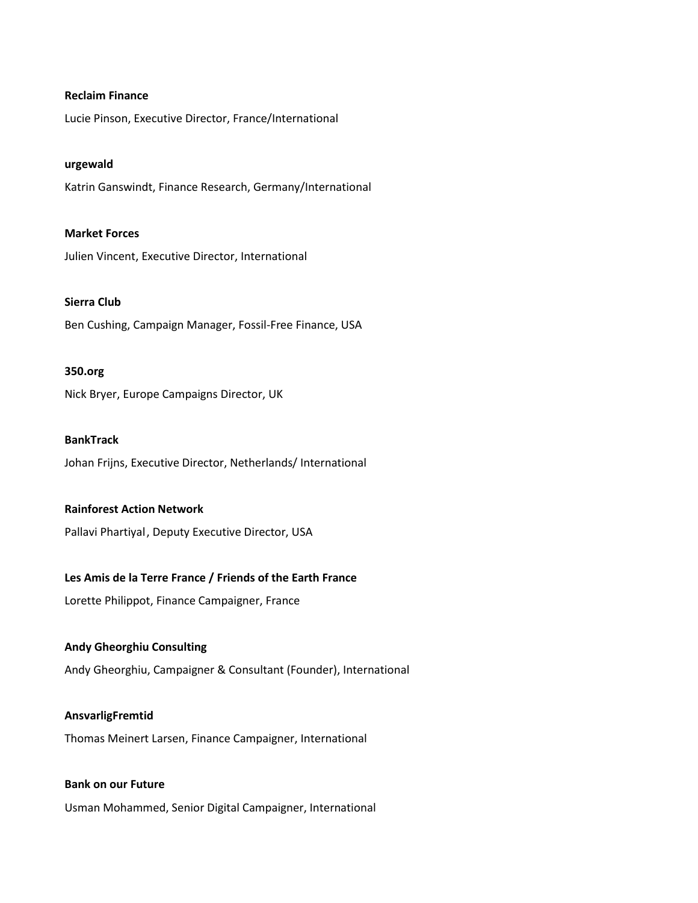#### **Reclaim Finance**

Lucie Pinson, Executive Director, France/International

#### **urgewald**

Katrin Ganswindt, Finance Research, Germany/International

#### **Market Forces**

Julien Vincent, Executive Director, International

#### **Sierra Club**

Ben Cushing, Campaign Manager, Fossil-Free Finance, USA

#### **350.org**

Nick Bryer, Europe Campaigns Director, UK

#### **BankTrack**

Johan Frijns, Executive Director, Netherlands/ International

#### **Rainforest Action Network**

Pallavi Phartiyal, Deputy Executive Director, USA

#### **Les Amis de la Terre France / Friends of the Earth France**

Lorette Philippot, Finance Campaigner, France

#### **Andy Gheorghiu Consulting**

Andy Gheorghiu, Campaigner & Consultant (Founder), International

#### **AnsvarligFremtid**

Thomas Meinert Larsen, Finance Campaigner, International

# **Bank on our Future**

Usman Mohammed, Senior Digital Campaigner, International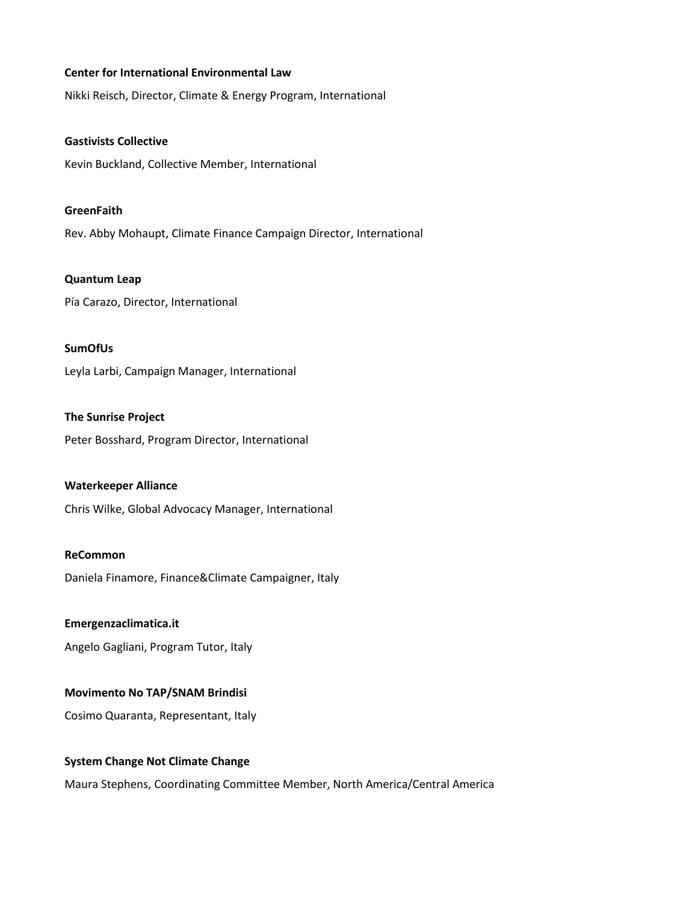#### **Center for International Environmental Law**

Nikki Reisch, Director, Climate & Energy Program, International

**Gastivists Collective** Kevin Buckland, Collective Member, International

**GreenFaith** Rev. Abby Mohaupt, Climate Finance Campaign Director, International

**Quantum Leap** Pía Carazo, Director, International

**SumOfUs**

Leyla Larbi, Campaign Manager, International

**The Sunrise Project** Peter Bosshard, Program Director, International

#### **Waterkeeper Alliance**

Chris Wilke, Global Advocacy Manager, International

#### **ReCommon**

Daniela Finamore, Finance&Climate Campaigner, Italy

**Emergenzaclimatica.it**

Angelo Gagliani, Program Tutor, Italy

#### **Movimento No TAP/SNAM Brindisi**

Cosimo Quaranta, Representant, Italy

#### **System Change Not Climate Change**

Maura Stephens, Coordinating Committee Member, North America/Central America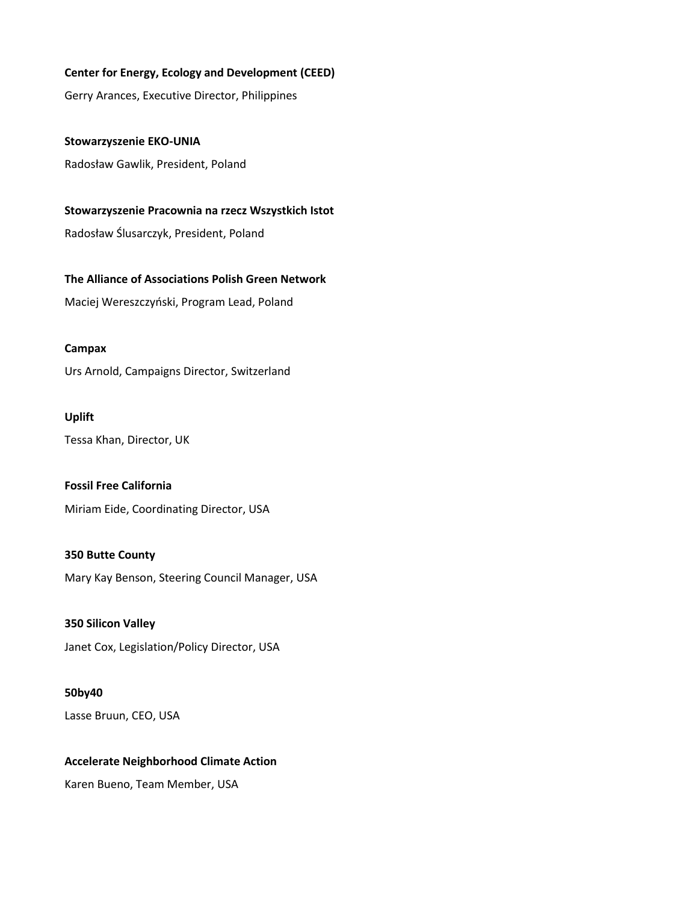#### **Center for Energy, Ecology and Development (CEED)**

Gerry Arances, Executive Director, Philippines

**Stowarzyszenie EKO-UNIA** Radosław Gawlik, President, Poland

**Stowarzyszenie Pracownia na rzecz Wszystkich Istot** Radosław Ślusarczyk, President, Poland

**The Alliance of Associations Polish Green Network**

Maciej Wereszczyński, Program Lead, Poland

#### **Campax**

Urs Arnold, Campaigns Director, Switzerland

# **Uplift**

Tessa Khan, Director, UK

# **Fossil Free California**

Miriam Eide, Coordinating Director, USA

# **350 Butte County**

Mary Kay Benson, Steering Council Manager, USA

# **350 Silicon Valley** Janet Cox, Legislation/Policy Director, USA

# **50by40**

Lasse Bruun, CEO, USA

# **Accelerate Neighborhood Climate Action**

Karen Bueno, Team Member, USA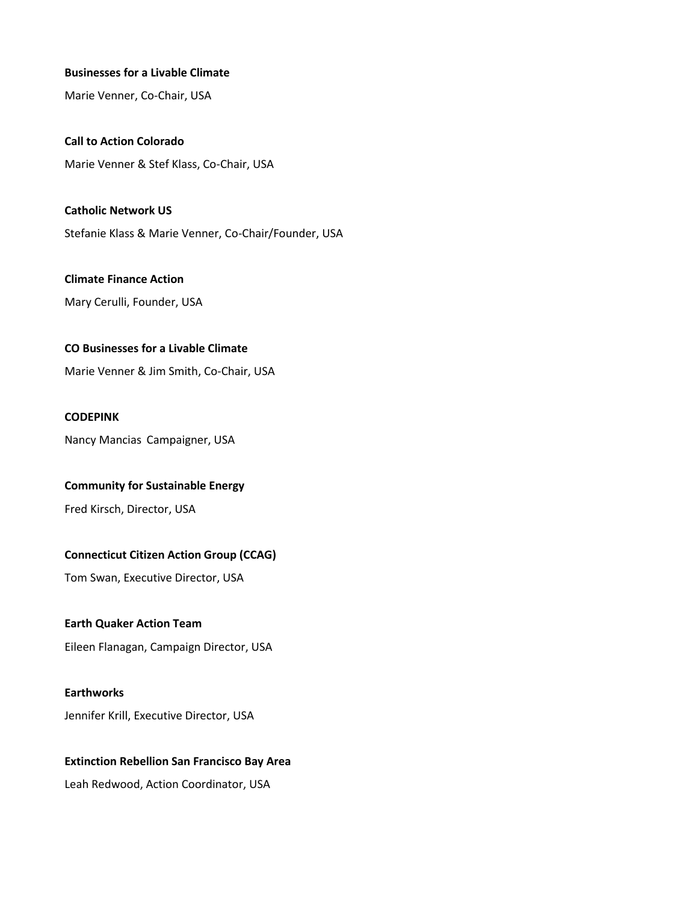#### **Businesses for a Livable Climate**

Marie Venner, Co-Chair, USA

**Call to Action Colorado** Marie Venner & Stef Klass, Co-Chair, USA

**Catholic Network US** Stefanie Klass & Marie Venner, Co-Chair/Founder, USA

**Climate Finance Action** Mary Cerulli, Founder, USA

## **CO Businesses for a Livable Climate**

Marie Venner & Jim Smith, Co-Chair, USA

### **CODEPINK**

Nancy Mancias Campaigner, USA

#### **Community for Sustainable Energy**

Fred Kirsch, Director, USA

#### **Connecticut Citizen Action Group (CCAG)**

Tom Swan, Executive Director, USA

#### **Earth Quaker Action Team**

Eileen Flanagan, Campaign Director, USA

#### **Earthworks**

Jennifer Krill, Executive Director, USA

# **Extinction Rebellion San Francisco Bay Area** Leah Redwood, Action Coordinator, USA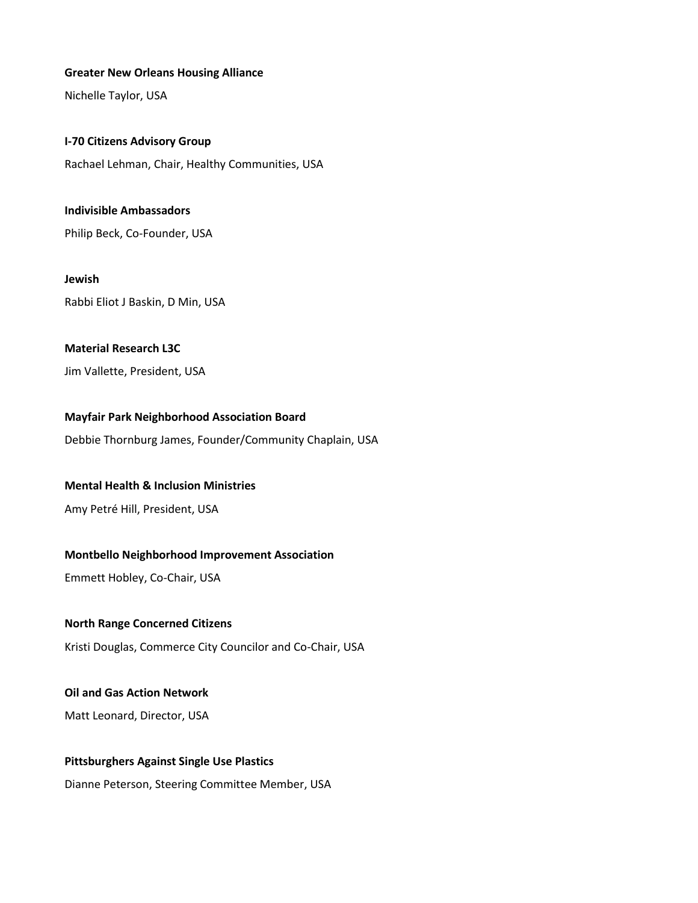#### **Greater New Orleans Housing Alliance**

Nichelle Taylor, USA

**I-70 Citizens Advisory Group**

Rachael Lehman, Chair, Healthy Communities, USA

**Indivisible Ambassadors** Philip Beck, Co-Founder, USA

**Jewish** Rabbi Eliot J Baskin, D Min, USA

### **Material Research L3C**

Jim Vallette, President, USA

#### **Mayfair Park Neighborhood Association Board**

Debbie Thornburg James, Founder/Community Chaplain, USA

#### **Mental Health & Inclusion Ministries**

Amy Petré Hill, President, USA

#### **Montbello Neighborhood Improvement Association**

Emmett Hobley, Co-Chair, USA

#### **North Range Concerned Citizens**

Kristi Douglas, Commerce City Councilor and Co-Chair, USA

#### **Oil and Gas Action Network**

Matt Leonard, Director, USA

#### **Pittsburghers Against Single Use Plastics**

Dianne Peterson, Steering Committee Member, USA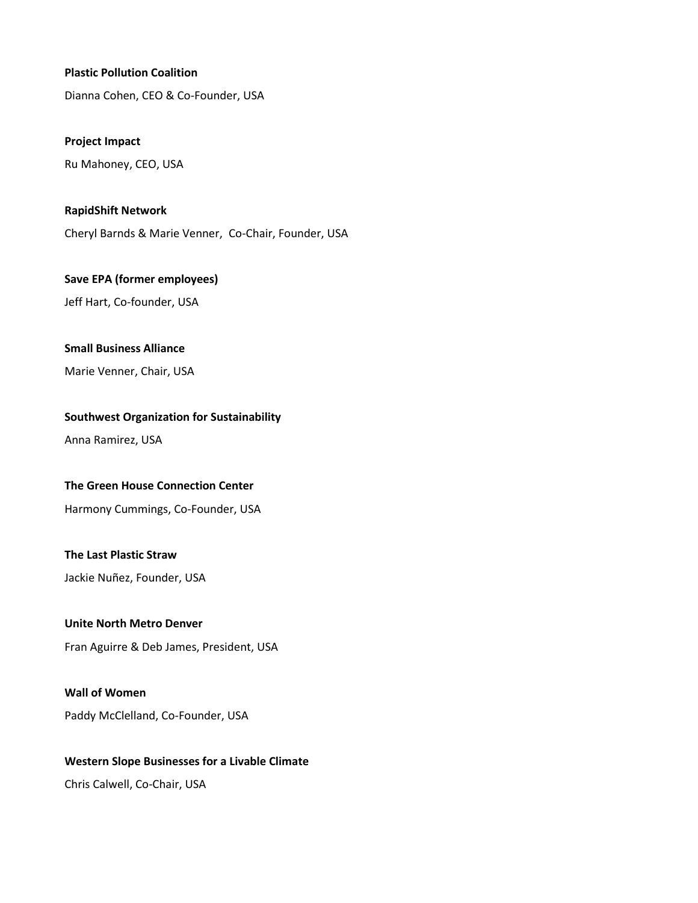#### **Plastic Pollution Coalition**

Dianna Cohen, CEO & Co-Founder, USA

**Project Impact**

Ru Mahoney, CEO, USA

**RapidShift Network**

Cheryl Barnds & Marie Venner, Co-Chair, Founder, USA

**Save EPA (former employees)**

Jeff Hart, Co-founder, USA

#### **Small Business Alliance**

Marie Venner, Chair, USA

# **Southwest Organization for Sustainability**

Anna Ramirez, USA

#### **The Green House Connection Center**

Harmony Cummings, Co-Founder, USA

# **The Last Plastic Straw**

Jackie Nuñez, Founder, USA

# **Unite North Metro Denver**

Fran Aguirre & Deb James, President, USA

#### **Wall of Women**

Paddy McClelland, Co-Founder, USA

# **Western Slope Businesses for a Livable Climate**

Chris Calwell, Co-Chair, USA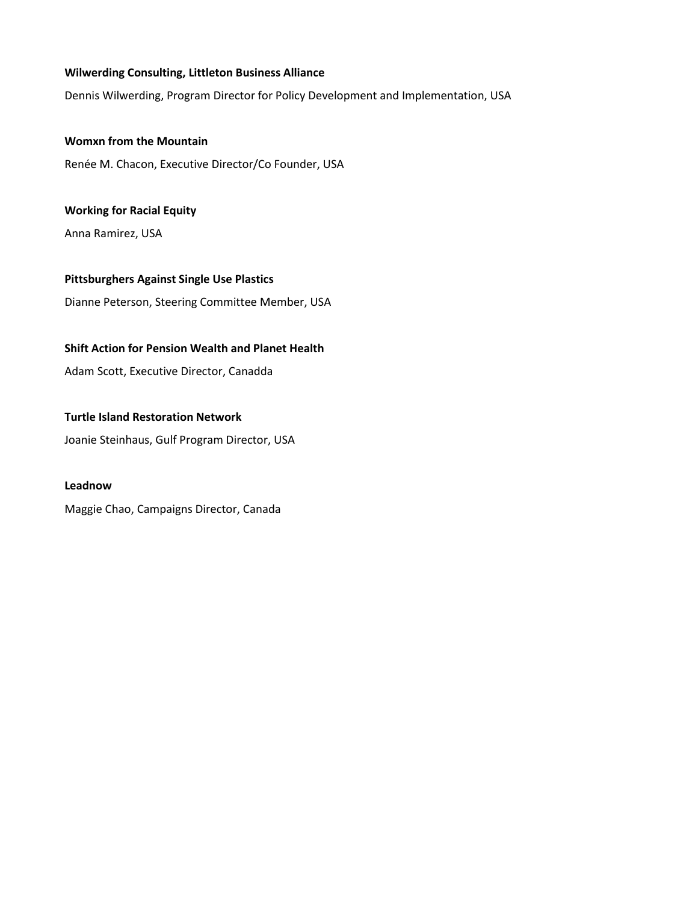### **Wilwerding Consulting, Littleton Business Alliance**

Dennis Wilwerding, Program Director for Policy Development and Implementation, USA

**Womxn from the Mountain** Renée M. Chacon, Executive Director/Co Founder, USA

**Working for Racial Equity** Anna Ramirez, USA

**Pittsburghers Against Single Use Plastics** Dianne Peterson, Steering Committee Member, USA

# **Shift Action for Pension Wealth and Planet Health**

Adam Scott, Executive Director, Canadda

#### **Turtle Island Restoration Network**

Joanie Steinhaus, Gulf Program Director, USA

#### **Leadnow**

Maggie Chao, Campaigns Director, Canada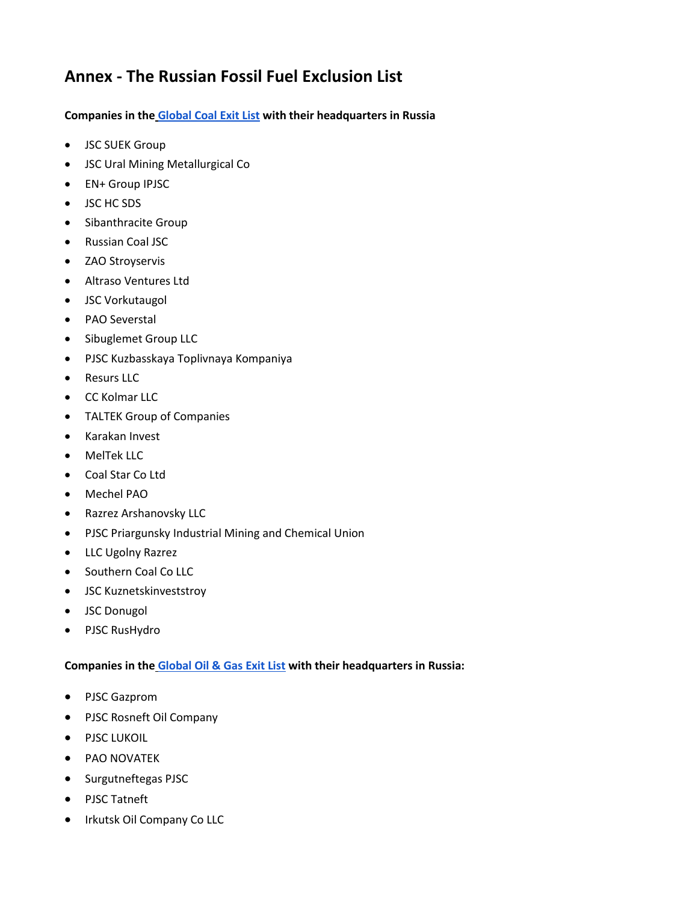# **Annex - The Russian Fossil Fuel Exclusion List**

**Companies in the [Global Coal Exit List](https://www.coalexit.org/) with their headquarters in Russia**

- JSC SUEK Group
- JSC Ural Mining Metallurgical Co
- EN+ Group IPJSC
- JSC HC SDS
- Sibanthracite Group
- Russian Coal JSC
- ZAO Stroyservis
- Altraso Ventures Ltd
- JSC Vorkutaugol
- PAO Severstal
- Sibuglemet Group LLC
- PJSC Kuzbasskaya Toplivnaya Kompaniya
- Resurs LLC
- CC Kolmar LLC
- TALTEK Group of Companies
- Karakan Invest
- MelTek LLC
- Coal Star Co Ltd
- Mechel PAO
- Razrez Arshanovsky LLC
- PJSC Priargunsky Industrial Mining and Chemical Union
- LLC Ugolny Razrez
- Southern Coal Co LLC
- JSC Kuznetskinveststroy
- JSC Donugol
- PJSC RusHydro

# **Companies in the [Global Oil & Gas Exit List](https://gogel.org/) with their headquarters in Russia:**

- PJSC Gazprom
- PJSC Rosneft Oil Company
- PJSC LUKOIL
- PAO NOVATEK
- Surgutneftegas PJSC
- PJSC Tatneft
- Irkutsk Oil Company Co LLC